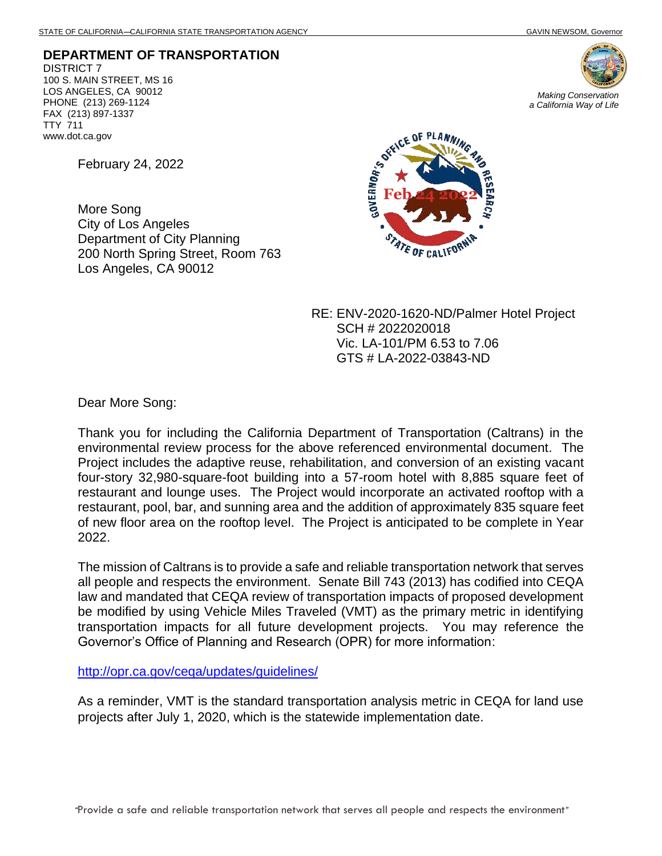**DEPARTMENT OF TRANSPORTATION** DISTRICT 7 100 S. MAIN STREET, MS 16 LOS ANGELES, CA 90012 PHONE (213) 269-1124 FAX (213) 897-1337 TTY 711 www.dot.ca.gov

February 24, 2022

More Song City of Los Angeles Department of City Planning 200 North Spring Street, Room 763 Los Angeles, CA 90012





RE: ENV-2020-1620-ND/Palmer Hotel Project SCH # 2022020018 Vic. LA-101/PM 6.53 to 7.06 GTS # LA-2022-03843-ND

Dear More Song:

Thank you for including the California Department of Transportation (Caltrans) in the environmental review process for the above referenced environmental document. The Project includes the adaptive reuse, rehabilitation, and conversion of an existing vacant four-story 32,980-square-foot building into a 57-room hotel with 8,885 square feet of restaurant and lounge uses. The Project would incorporate an activated rooftop with a restaurant, pool, bar, and sunning area and the addition of approximately 835 square feet of new floor area on the rooftop level. The Project is anticipated to be complete in Year 2022.

The mission of Caltrans is to provide a safe and reliable transportation network that serves all people and respects the environment. Senate Bill 743 (2013) has codified into CEQA law and mandated that CEQA review of transportation impacts of proposed development be modified by using Vehicle Miles Traveled (VMT) as the primary metric in identifying transportation impacts for all future development projects. You may reference the Governor's Office of Planning and Research (OPR) for more information:

<http://opr.ca.gov/ceqa/updates/guidelines/>

As a reminder, VMT is the standard transportation analysis metric in CEQA for land use projects after July 1, 2020, which is the statewide implementation date.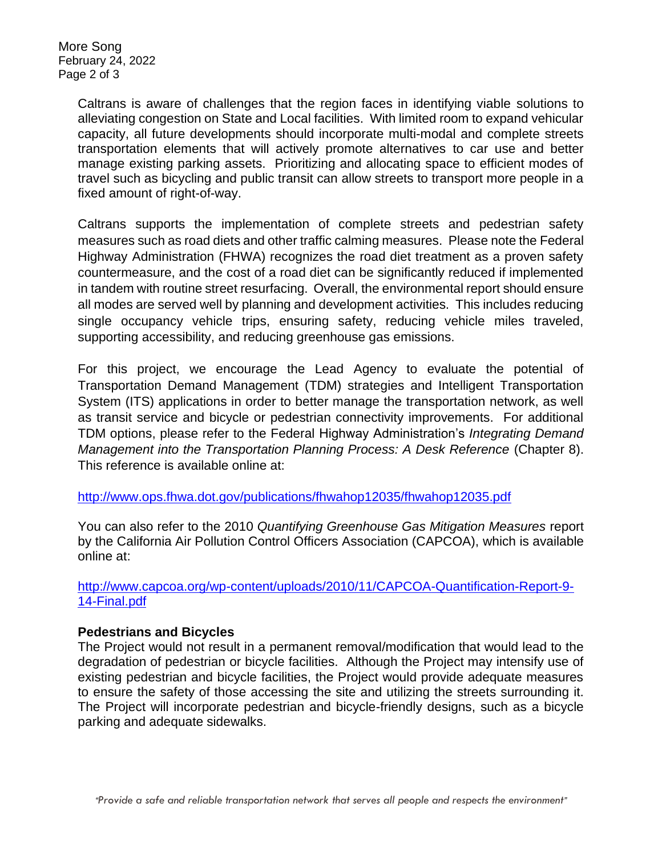More Song February 24, 2022 Page 2 of 3

> Caltrans is aware of challenges that the region faces in identifying viable solutions to alleviating congestion on State and Local facilities. With limited room to expand vehicular capacity, all future developments should incorporate multi-modal and complete streets transportation elements that will actively promote alternatives to car use and better manage existing parking assets. Prioritizing and allocating space to efficient modes of travel such as bicycling and public transit can allow streets to transport more people in a fixed amount of right-of-way.

> Caltrans supports the implementation of complete streets and pedestrian safety measures such as road diets and other traffic calming measures. Please note the Federal Highway Administration (FHWA) recognizes the road diet treatment as a proven safety countermeasure, and the cost of a road diet can be significantly reduced if implemented in tandem with routine street resurfacing. Overall, the environmental report should ensure all modes are served well by planning and development activities. This includes reducing single occupancy vehicle trips, ensuring safety, reducing vehicle miles traveled, supporting accessibility, and reducing greenhouse gas emissions.

> For this project, we encourage the Lead Agency to evaluate the potential of Transportation Demand Management (TDM) strategies and Intelligent Transportation System (ITS) applications in order to better manage the transportation network, as well as transit service and bicycle or pedestrian connectivity improvements. For additional TDM options, please refer to the Federal Highway Administration's *Integrating Demand Management into the Transportation Planning Process: A Desk Reference (Chapter 8).* This reference is available online at:

<http://www.ops.fhwa.dot.gov/publications/fhwahop12035/fhwahop12035.pdf>

You can also refer to the 2010 *Quantifying Greenhouse Gas Mitigation Measures* report by the California Air Pollution Control Officers Association (CAPCOA), which is available online at:

[http://www.capcoa.org/wp-content/uploads/2010/11/CAPCOA-Quantification-Report-9-](http://www.capcoa.org/wp-content/uploads/2010/11/CAPCOA-Quantification-Report-9-14-Final.pdf) [14-Final.pdf](http://www.capcoa.org/wp-content/uploads/2010/11/CAPCOA-Quantification-Report-9-14-Final.pdf)

## **Pedestrians and Bicycles**

The Project would not result in a permanent removal/modification that would lead to the degradation of pedestrian or bicycle facilities. Although the Project may intensify use of existing pedestrian and bicycle facilities, the Project would provide adequate measures to ensure the safety of those accessing the site and utilizing the streets surrounding it. The Project will incorporate pedestrian and bicycle-friendly designs, such as a bicycle parking and adequate sidewalks.